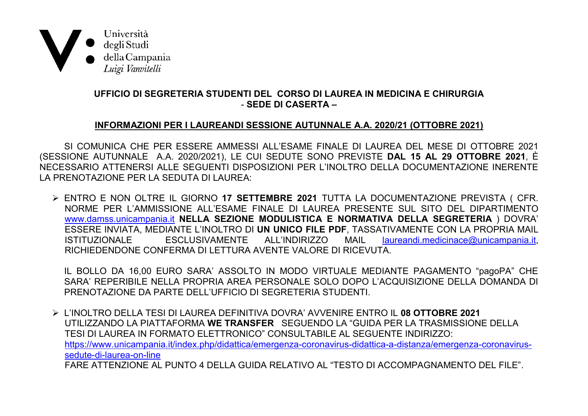

## UFFICIO DI SEGRETERIA STUDENTI DEL CORSO DI LAUREA IN MEDICINA E CHIRURGIA - SEDE DI CASERTA -

## INFORMAZIONI PER I LAUREANDI SESSIONE AUTUNNALE A.A. 2020/21 (OTTOBRE 2021)

SI COMUNICA CHE PER ESSERE AMMESSI ALL'ESAME FINALE DI LAUREA DEL MESE DI OTTOBRE 2021 (SESSIONE AUTUNNALE A.A. 2020/2021), LE CUI SEDUTE SONO PREVISTE **DAL 15 AL 29 OTTOBRE 2021**, È NECESSARIO ATTENERSI ALLE SEGUENTI DISPOSIZIONI PER L'INOLTRO DELLA DOCUMENTAZIONE INERENTE LA PRENOTAZIONE PER LA SEDUTA DI LAUREA:

> ENTRO E NON OLTRE IL GIORNO 17 SETTEMBRE 2021 TUTTA LA DOCUMENTAZIONE PREVISTA ( CFR. NORME PER L'AMMISSIONE ALL'ESAME FINALE DI LAUREA PRESENTE SUL SITO DEL DIPARTIMENTO www.damss.unicampania.it NELLA SEZIONE MODULISTICA E NORMATIVA DELLA SEGRETERIA ) DOVRA ESSERE INVIATA, MEDIANTE L'INOLTRO DI UN UNICO FILE PDF, TASSATIVAMENTE CON LA PROPRIA MAIL FSCLUSIVAMENTE ALL'INDIRIZZO **MAII ISTITUZIONALE** laureandi.medicinace@unicampania.it. RICHIEDENDONE CONFERMA DI LETTURA AVENTE VALORE DI RICEVUTA.

IL BOLLO DA 16,00 EURO SARA' ASSOLTO IN MODO VIRTUALE MEDIANTE PAGAMENTO "pagoPA" CHE SARA' REPERIBILE NELLA PROPRIA AREA PERSONALE SOLO DOPO L'ACQUISIZIONE DELLA DOMANDA DI PRENOTAZIONE DA PARTE DELL'UFFICIO DI SEGRETERIA STUDENTI.

> L'INOLTRO DELLA TESI DI LAUREA DEFINITIVA DOVRA' AVVENIRE ENTRO IL 08 OTTOBRE 2021 UTILIZZANDO LA PIATTAFORMA WE TRANSFER SEGUENDO LA "GUIDA PER LA TRASMISSIONE DELLA TESI DI LAUREA IN FORMATO ELETTRONICO" CONSULTABILE AL SEGUENTE INDIRIZZO: https://www.unicampania.it/index.php/didattica/emergenza-coronavirus-didattica-a-distanza/emergenza-coronavirussedute-di-laurea-on-line FARE ATTENZIONE AL PUNTO 4 DELLA GUIDA RELATIVO AL "TESTO DI ACCOMPAGNAMENTO DEL FILE"